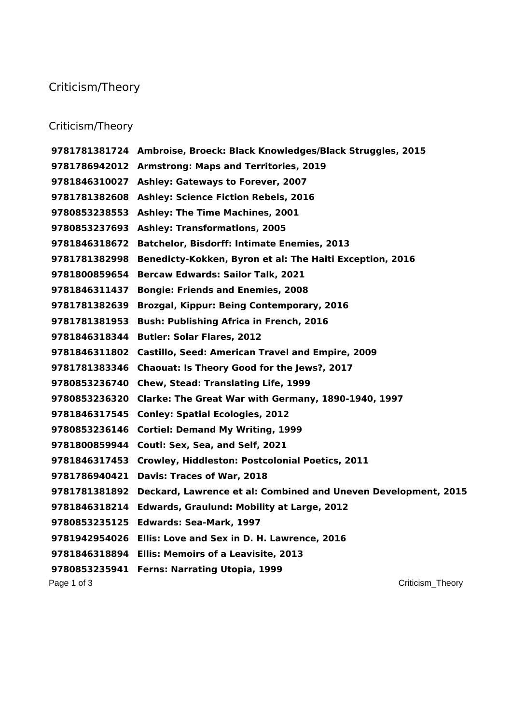## Criticism/Theory

## Criticism/Theory

Page 1 of 3 Criticism\_Theory and the contract of 3 Criticism\_Theory and the contract of 3 Criticism\_Theory and the contract of  $\sim$  Criticism\_Theory and the contract of  $\sim$  Criticism  $\sim$  Criticism  $\sim$  Criticism  $\sim$  Cri **Ambroise, Broeck: Black Knowledges/Black Struggles, 2015 Armstrong: Maps and Territories, 2019 Ashley: Gateways to Forever, 2007 Ashley: Science Fiction Rebels, 2016 Ashley: The Time Machines, 2001 Ashley: Transformations, 2005 Batchelor, Bisdorff: Intimate Enemies, 2013 Benedicty-Kokken, Byron et al: The Haiti Exception, 2016 Bercaw Edwards: Sailor Talk, 2021 Bongie: Friends and Enemies, 2008 Brozgal, Kippur: Being Contemporary, 2016 Bush: Publishing Africa in French, 2016 Butler: Solar Flares, 2012 Castillo, Seed: American Travel and Empire, 2009 Chaouat: Is Theory Good for the Jews?, 2017 Chew, Stead: Translating Life, 1999 Clarke: The Great War with Germany, 1890-1940, 1997 Conley: Spatial Ecologies, 2012 Cortiel: Demand My Writing, 1999 Couti: Sex, Sea, and Self, 2021 Crowley, Hiddleston: Postcolonial Poetics, 2011 Davis: Traces of War, 2018 Deckard, Lawrence et al: Combined and Uneven Development, 2015 Edwards, Graulund: Mobility at Large, 2012 Edwards: Sea-Mark, 1997 Ellis: Love and Sex in D. H. Lawrence, 2016 Ellis: Memoirs of a Leavisite, 2013 Ferns: Narrating Utopia, 1999**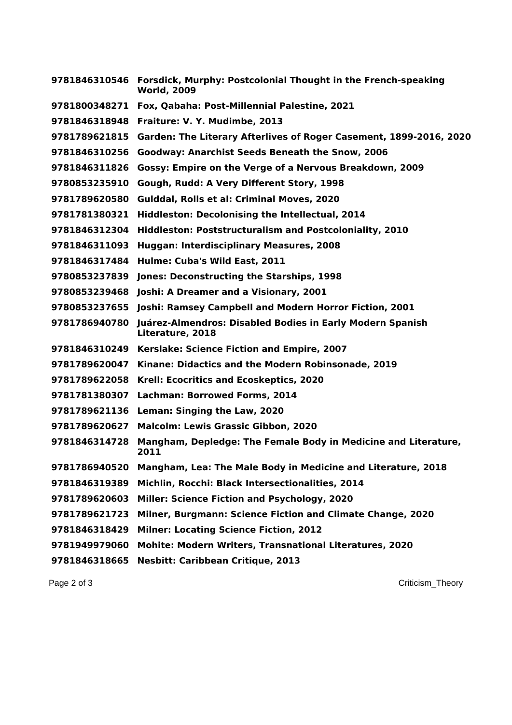| 9781846310546 | Forsdick, Murphy: Postcolonial Thought in the French-speaking<br><b>World, 2009</b> |
|---------------|-------------------------------------------------------------------------------------|
| 9781800348271 | Fox, Qabaha: Post-Millennial Palestine, 2021                                        |
| 9781846318948 | Fraiture: V. Y. Mudimbe, 2013                                                       |
| 9781789621815 | Garden: The Literary Afterlives of Roger Casement, 1899-2016, 2020                  |
| 9781846310256 | <b>Goodway: Anarchist Seeds Beneath the Snow, 2006</b>                              |
| 9781846311826 | Gossy: Empire on the Verge of a Nervous Breakdown, 2009                             |
| 9780853235910 | Gough, Rudd: A Very Different Story, 1998                                           |
| 9781789620580 | Gulddal, Rolls et al: Criminal Moves, 2020                                          |
| 9781781380321 | Hiddleston: Decolonising the Intellectual, 2014                                     |
| 9781846312304 | Hiddleston: Poststructuralism and Postcoloniality, 2010                             |
| 9781846311093 | <b>Huggan: Interdisciplinary Measures, 2008</b>                                     |
| 9781846317484 | Hulme: Cuba's Wild East, 2011                                                       |
| 9780853237839 | Jones: Deconstructing the Starships, 1998                                           |
| 9780853239468 | Joshi: A Dreamer and a Visionary, 2001                                              |
| 9780853237655 | Joshi: Ramsey Campbell and Modern Horror Fiction, 2001                              |
| 9781786940780 | Juárez-Almendros: Disabled Bodies in Early Modern Spanish<br>Literature, 2018       |
| 9781846310249 | Kerslake: Science Fiction and Empire, 2007                                          |
| 9781789620047 | Kinane: Didactics and the Modern Robinsonade, 2019                                  |
| 9781789622058 | Krell: Ecocritics and Ecoskeptics, 2020                                             |
| 9781781380307 | <b>Lachman: Borrowed Forms, 2014</b>                                                |
| 9781789621136 | Leman: Singing the Law, 2020                                                        |
| 9781789620627 | <b>Malcolm: Lewis Grassic Gibbon, 2020</b>                                          |
| 9781846314728 | Mangham, Depledge: The Female Body in Medicine and Literature,<br>2011              |
| 9781786940520 | Mangham, Lea: The Male Body in Medicine and Literature, 2018                        |
| 9781846319389 | Michlin, Rocchi: Black Intersectionalities, 2014                                    |
| 9781789620603 | <b>Miller: Science Fiction and Psychology, 2020</b>                                 |
| 9781789621723 | Milner, Burgmann: Science Fiction and Climate Change, 2020                          |
| 9781846318429 | <b>Milner: Locating Science Fiction, 2012</b>                                       |
| 9781949979060 | <b>Mohite: Modern Writers, Transnational Literatures, 2020</b>                      |
| 9781846318665 | <b>Nesbitt: Caribbean Critique, 2013</b>                                            |

Page 2 of 3 Criticism\_Theory